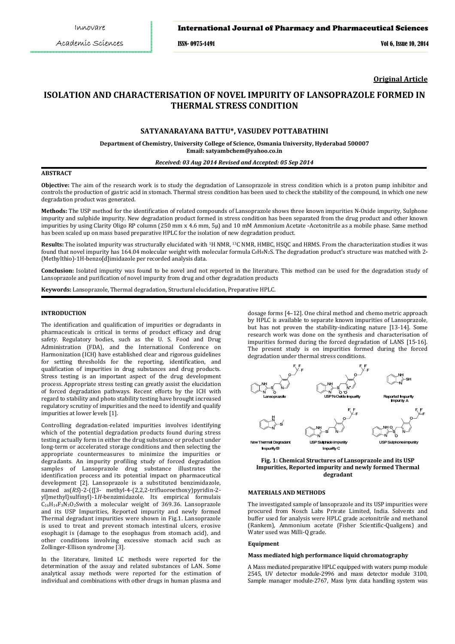## International Journal of Pharmacy and Pharmaceutical Sciences

ISSN- 0975-1491 Vol 6, Issue 10, 2014

**Original Article**

# **ISOLATION AND CHARACTERISATION OF NOVEL IMPURITY OF LANSOPRAZOLE FORMED IN THERMAL STRESS CONDITION**

# **SATYANARAYANA BATTU\*, VASUDEV POTTABATHINI**

**Department of Chemistry, University College of Science, Osmania University, Hyderabad 500007 Email: satyambchem@yahoo.co.in** 

#### *Received: 03 Aug 2014 Revised and Accepted: 05 Sep 2014*

### **ABSTRACT**

**Objective:** The aim of the research work is to study the degradation of Lansoprazole in stress condition which is a proton pump inhibitor and controls the production of gastric acid in stomach. Thermal stress condition has been used to check the stability of the compound, in which one new degradation product was generated.

**Methods:** The USP method for the identification of related compounds of Lansoprazole shows three known impurities N-Oxide impurity, Sulphone impurity and sulphide impurity. New degradation product formed in stress condition has been separated from the drug product and other known impurities by using Clarity Oligo RP column (250 mm x 4.6 mm, 5µ) and 10 mM Ammonium Acetate -Acetonitrile as a mobile phase. Same method has been scaled up on mass based preparative HPLC for the isolation of new degradation product.

**Results:** The isolated impurity was structurally elucidated with 1H NMR, 13C NMR, HMBC, HSQC and HRMS. From the characterization studies it was found that novel impurity has 164.04 molecular weight with molecular formula C<sub>8</sub>H<sub>8</sub>N<sub>2</sub>S. The degradation product's structure was matched with 2-(Methylthio)-1H-benzo[d]imidazole per recorded analysis data.

**Conclusion:** Isolated impurity was found to be novel and not reported in the literature. This method can be used for the degradation study of Lansoprazole and purification of novel impurity from drug and other degradation products

**Keywords:** Lansoprazole, Thermal degradation, Structural elucidation, Preparative HPLC.

### **INTRODUCTION**

The identification and qualification of impurities or degradants in pharmaceuticals is critical in terms of product efficacy and drug safety. Regulatory bodies, such as the U. S. Food and Drug Administration (FDA), and the International Conference on Harmonization (ICH) have established clear and rigorous guidelines for setting thresholds for the reporting, identification, and qualification of impurities in drug substances and drug products. Stress testing is an important aspect of the drug development process. Appropriate stress testing can greatly assist the elucidation of forced degradation pathways. Recent efforts by the ICH with regard to stability and photo stability testing have brought increased regulatory scrutiny of impurities and the need to identify and qualify impurities at lower levels [1].

Controlling degradation-related impurities involves identifying which of the potential degradation products found during stress testing actually form in either the drug substance or product under long-term or accelerated storage conditions and then selecting the appropriate countermeasures to minimize the impurities or degradants. An impurity profiling study of forced degradation samples of Lansoprazole drug substance illustrates the identification process and its potential impact on pharmaceutical development [2]. Lansoprazole is a substituted benzimidazole, named as(*RS*)-2-({[3- methyl-4-(2,2,2-trifluoroethoxy)pyridin-2 yl]methyl}sulfinyl)-1*H*-benzimidazole. Its empirical formulais  $C_{16}H_{14}F_3N_3O_2$ Swith a molecular weight of 369.36. Lansoprazole and its USP Impurities, Reported impurity and newly formed Thermal degradant impurities were shown in Fig.1. Lansoprazole is used to treat and prevent stomach intestinal ulcers, erosive esophagit is (damage to the esophagus from stomach acid), and other conditions involving excessive stomach acid such as Zollinger-Ellison syndrome [3].

In the literature, limited LC methods were reported for the determination of the assay and related substances of LAN. Some analytical assay methods were reported for the estimation of individual and combinations with other drugs in human plasma and

dosage forms [4–12]. One chiral method and chemo metric approach by HPLC is available to separate known impurities of Lansoprazole, but has not proven the stability-indicating nature [13-14]. Some research work was done on the synthesis and characterisation of impurities formed during the forced degradation of LANS [15-16]. The present study is on impurities formed during the forced degradation under thermal stress conditions.



**Fig. 1: Chemical Structures of Lansoprazole and its USP Impurities, Reported impurity and newly formed Thermal degradant** 

### **MATERIALS AND METHODS**

The investigated sample of lansoprazole and its USP impurities were procured from Nosch Labs Private Limited, India. Solvents and buffer used for analysis were HPLC grade acetonitrile and methanol (Rankem), Ammonium acetate (Fisher Scientific-Qualigens) and Water used was Milli-Q grade.

#### **Equipment**

#### **Mass mediated high performance liquid chromatography**

A Mass mediated preparative HPLC equipped with waters pump module 2545, UV detector module-2996 and mass detector module 3100, Sample manager module-2767, Mass lynx data handling system was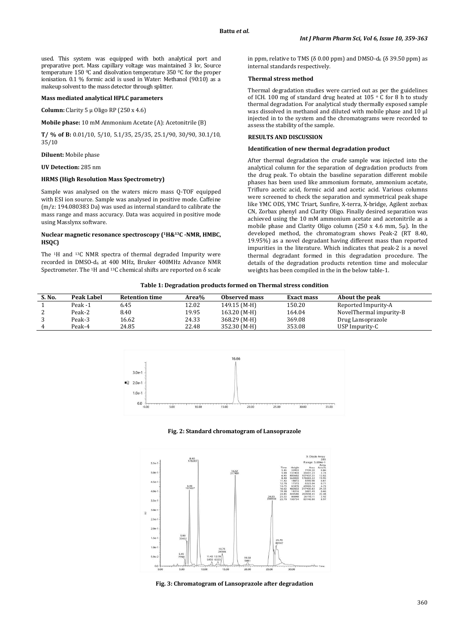used. This system was equipped with both analytical port and preparative port. Mass capillary voltage was maintained 3 kv, Source temperature 150 0C and disolvation temperature 350 0C for the proper ionisation. 0.1 % formic acid is used in Water: Methanol (90:10) as a makeup solvent to the mass detector through splitter.

### **Mass mediated analytical HPLC parameters**

**Column:** Clarity 5 µ Oligo RP (250 x 4.6)

# **Mobile phase:** 10 mM Ammonium Acetate (A): Acetonitrile (B)

**T/ % of B:** 0.01/10, 5/10, 5.1/35, 25/35, 25.1/90, 30/90, 30.1/10, 35/10

### **Diluent:** Mobile phase

### **UV Detection:** 285 nm

### **HRMS (High Resolution Mass Spectrometry)**

Sample was analysed on the waters micro mass Q-TOF equipped with ESI ion source. Sample was analysed in positive mode. Caffeine (m/z: 194.080383 Da) was used as internal standard to calibrate the mass range and mass accuracy. Data was acquired in positive mode using Masslynx software.

### **Nuclear magnetic resonance spectroscopy (1H&13C -NMR, HMBC, HSQC)**

The 1H and 13C NMR spectra of thermal degraded Impurity were recorded in DMSO-d6 at 400 MHz, Bruker 400MHz Advance NMR Spectrometer. The <sup>1</sup>H and <sup>13</sup>C chemical shifts are reported on  $\delta$  scale in ppm, relative to TMS ( $\delta$  0.00 ppm) and DMSO-d<sub>6</sub> ( $\delta$  39.50 ppm) as internal standards respectively.

### **Thermal stress method**

Thermal degradation studies were carried out as per the guidelines of ICH. 100 mg of standard drug heated at  $105 \circ C$  for 8 h to study thermal degradation. For analytical study thermally exposed sample was dissolved in methanol and diluted with mobile phase and 10 µl injected in to the system and the chromatograms were recorded to assess the stability of the sample.

### **RESULTS AND DISCUSSION**

#### **Identification of new thermal degradation product**

After thermal degradation the crude sample was injected into the analytical column for the separation of degradation products from the drug peak. To obtain the baseline separation different mobile phases has been used like ammonium formate, ammonium acetate, Trifluro acetic acid, formic acid and acetic acid. Various columns were screened to check the separation and symmetrical peak shape like YMC ODS, YMC Triart, Sunfire, X-terra, X-bridge, Agilent zorbax CN, Zorbax phenyl and Clarity Oligo. Finally desired separation was achieved using the 10 mM ammonium acetate and acetonitrile as a mobile phase and Clarity Oligo column (250 x 4.6 mm, 5µ). In the developed method, the chromatogram shows Peak-2 (RT 8.40, 19.95%) as a novel degradant having different mass than reported impurities in the literature. Which indicates that peak-2 is a novel thermal degradant formed in this degradation procedure. The details of the degradation products retention time and molecular weights has been compiled in the in the below table-1.

| Table 1: Degradation products formed on Thermal stress condition |
|------------------------------------------------------------------|
|------------------------------------------------------------------|

| S. No. | Peak Label | <b>Retention time</b> | Area% | Observed mass | <b>Exact mass</b> | About the peak          |
|--------|------------|-----------------------|-------|---------------|-------------------|-------------------------|
|        | Peak -1    | 6.45                  | 12.02 | 149.15 (M-H)  | 150.20            | Reported Impurity-A     |
|        | Peak-2     | 8.40                  | 19.95 | 163.20 (M-H)  | 164.04            | NovelThermal impurity-B |
|        | Peak-3     | 16.62                 | 24.33 | 368.29 (M-H)  | 369.08            | Drug Lansoprazole       |
| 4      | Peak-4     | 24.85                 | 22.48 | 352.30 (M-H)  | 353.08            | USP Impurity-C          |



#### **Fig. 2: Standard chromatogram of Lansoprazole**



**Fig. 3: Chromatogram of Lansoprazole after degradation**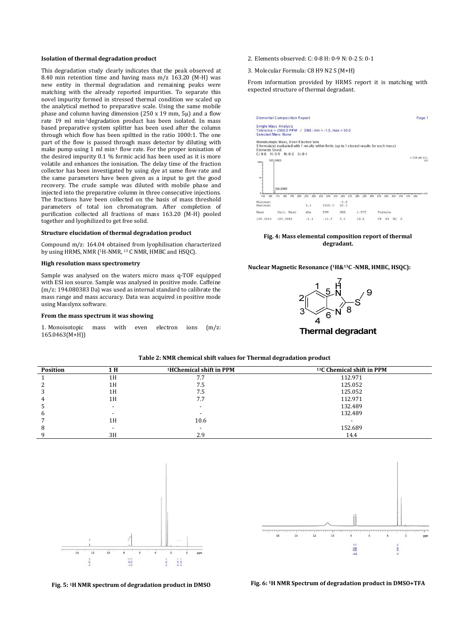#### **Isolation of thermal degradation product**

This degradation study clearly indicates that the peak observed at 8.40 min retention time and having mass m/z 163.20 (M-H) was new entity in thermal degradation and remaining peaks were matching with the already reported impurities. To separate this novel impurity formed in stressed thermal condition we scaled up the analytical method to preparative scale. Using the same mobile phase and column having dimension (250 x 19 mm, 5µ) and a flow rate 19 ml min-1degradation product has been isolated. In mass based preparative system splitter has been used after the column through which flow has been spiltted in the ratio 1000:1. The one part of the flow is passed through mass detector by diluting with make pump using 1 ml min-1 flow rate. For the proper ionisation of the desired impurity 0.1 % formic acid has been used as it is more volatile and enhances the ionisation. The delay time of the fraction collector has been investigated by using dye at same flow rate and the same parameters have been given as a input to get the good recovery. The crude sample was diluted with mobile phase and injected into the preparative column in three consecutive injections. The fractions have been collected on the basis of mass threshold parameters of total ion chromatogram. After completion of purification collected all fractions of mass 163.20 (M-H) pooled together and lyophilized to get free solid.

#### **Structure elucidation of thermal degradation product**

Compound m/z: 164.04 obtained from lyophilisation characterized by using HRMS, NMR (<sup>1</sup>H-NMR, <sup>13</sup> C NMR, HMBC and HSQC).

### **High resolution mass spectrometry**

Sample was analysed on the waters micro mass q-TOF equipped with ESI ion source. Sample was analysed in positive mode. Caffeine (m/z: 194.080383 Da) was used as internal standard to calibrate the mass range and mass accuracy. Data was acquired in positive mode using Masslynx software.

#### **From the mass spectrum it was showing**

1. Monoisotopic mass with even electron ions (m/z:  $165.0463(M+H)$ 

- 2. Elements observed: C: 0-8 H: 0-9 N: 0-2 S: 0-1
- 3. Molecular Formula: C8 H9 N2 S (M+H)

From information provided by HRMS report it is matching with expected structure of thermal degradant.

|                | <b>Elemental Composition Report</b>                                                                                                                                       |            |                |            |             |     |         |            |                                                         | Page 1 |
|----------------|---------------------------------------------------------------------------------------------------------------------------------------------------------------------------|------------|----------------|------------|-------------|-----|---------|------------|---------------------------------------------------------|--------|
|                | <b>Single Mass Analysis</b><br>Tolerance = 2500.0 PPM / DBE: min = -1.5, max = 50.0<br>Selected filters: None                                                             |            |                |            |             |     |         |            |                                                         |        |
| Elements Used: | Monoisotopic Mass, Even Electron Ions<br>5 formula(e) evaluated with 1 results within limits (up to 1 closest results for each mass)<br>$C: 0-8$ H: 0-9 N: 0-2 S: 0-1     |            |                |            |             |     |         |            |                                                         |        |
| $100 -$        | 165.0463                                                                                                                                                                  |            |                |            |             |     |         |            | 1: TOF MS ES+                                           | 557    |
| $96 -$         |                                                                                                                                                                           |            |                |            |             |     |         |            |                                                         |        |
| 160<br>150     | 166.0369<br><u>0-postaming princhatabatical antical antical antical antical antical antical antical antical antical antical antical antic</u><br>170<br>180<br>190<br>200 | 220<br>210 | 240 250<br>230 | 270<br>260 | 290<br>280  | 310 | 320     | 340<br>330 | 1/2 <del>Textural advertised and and a</del><br>350 360 |        |
|                |                                                                                                                                                                           |            |                |            | 300         |     |         |            |                                                         |        |
| Minimum:       |                                                                                                                                                                           |            |                | $-1.5$     |             |     |         |            |                                                         |        |
| Maximum:       |                                                                                                                                                                           | 5.0        | 2500.0         | 50.0       |             |     |         |            |                                                         |        |
| Mass           | Calc. Mass                                                                                                                                                                | mDa.       | PPM            | DBE        | $i$ - $FIT$ |     | Formula |            |                                                         |        |
| 165.0463       | 165.0486                                                                                                                                                                  | $-2.3$     | $-13.9$        | 5.5        | 18.6        | C8  | H9 N2 S |            |                                                         |        |

**Fig. 4: Mass elemental composition report of thermal degradant.** 

#### **Nuclear Magnetic Resonance (1H&13C -NMR, HMBC, HSQC):**



**Thermal degradant** 

| Table 2: NMR chemical shift values for Thermal degradation product |  |
|--------------------------------------------------------------------|--|
|--------------------------------------------------------------------|--|

| <b>Position</b> | 1 H | <sup>1</sup> HChemical shift in PPM | <sup>13</sup> C Chemical shift in PPM |
|-----------------|-----|-------------------------------------|---------------------------------------|
|                 | 1H  | .                                   | 112.971                               |
|                 | 1H  | 7.5                                 | 125.052                               |
|                 | 1H  | 7.5                                 | 125.052                               |
|                 | 1H  | 7.7                                 | 112.971                               |
|                 | -   |                                     | 132.489                               |
|                 |     |                                     | 132.489                               |
|                 | 1H  | 10.6                                |                                       |
|                 |     |                                     | 152.689                               |
|                 | 3H  | 2.9                                 | 14.4                                  |



**Fig. 5: 1H NMR spectrum of degradation product in DMSO Fig. 6: 1H NMR Spectrum of degradation product in DMSO+TFA** 

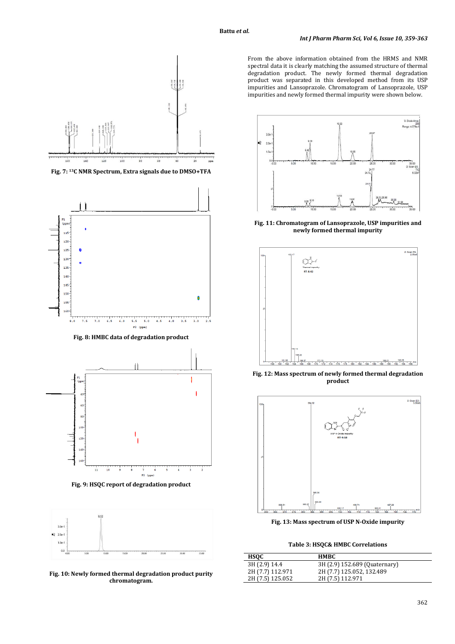

**Fig. 7: 13C NMR Spectrum, Extra signals due to DMSO+TFA** 



**Fig. 8: HMBC data of degradation product** 



**Fig. 9: HSQC report of degradation product** 



**Fig. 10: Newly formed thermal degradation product purity chromatogram.** 

From the above information obtained from the HRMS and NMR spectral data it is clearly matching the assumed structure of thermal degradation product. The newly formed thermal degradation product was separated in this developed method from its USP impurities and Lansoprazole. Chromatogram of Lansoprazole, USP impurities and newly formed thermal impurity were shown below.



**Fig. 11: Chromatogram of Lansoprazole, USP impurities and newly formed thermal impurity** 



**Fig. 12: Mass spectrum of newly formed thermal degradation product** 



**Fig. 13: Mass spectrum of USP N-Oxide impurity** 

**Table 3: HSQC& HMBC Correlations** 

| <b>HSOC</b>      | HMBC.                         |
|------------------|-------------------------------|
| 3H (2.9) 14.4    | 3H (2.9) 152.689 (Quaternary) |
| 2H (7.7) 112.971 | 2H (7.7) 125.052, 132.489     |
| 2H (7.5) 125.052 | 2H (7.5) 112.971              |